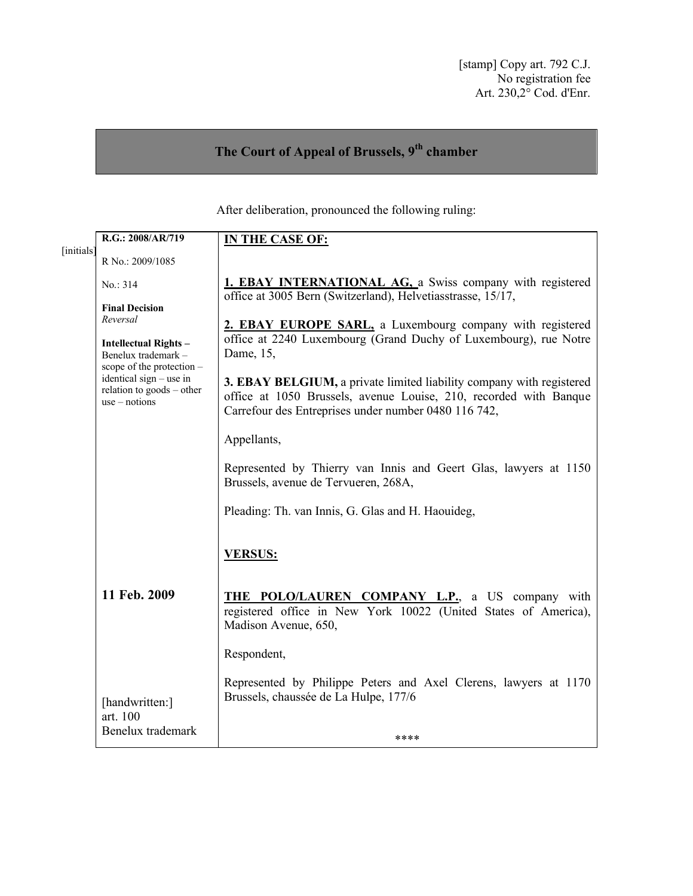# **The Court of Appeal of Brussels, 9th chamber**

After deliberation, pronounced the following ruling:

|            | R.G.: 2008/AR/719                                                                                                                                                                              | <b>IN THE CASE OF:</b>                                                                                                                                                                                                                                                                                                                          |
|------------|------------------------------------------------------------------------------------------------------------------------------------------------------------------------------------------------|-------------------------------------------------------------------------------------------------------------------------------------------------------------------------------------------------------------------------------------------------------------------------------------------------------------------------------------------------|
| [initials] | R No.: 2009/1085                                                                                                                                                                               |                                                                                                                                                                                                                                                                                                                                                 |
|            | No.: 314                                                                                                                                                                                       | <b>1. EBAY INTERNATIONAL AG, a</b> Swiss company with registered<br>office at 3005 Bern (Switzerland), Helvetiasstrasse, 15/17,                                                                                                                                                                                                                 |
|            | <b>Final Decision</b><br>Reversal<br><b>Intellectual Rights-</b><br>Benelux trademark-<br>scope of the protection -<br>identical sign – use in<br>relation to goods – other<br>$use - notions$ | 2. EBAY EUROPE SARL, a Luxembourg company with registered<br>office at 2240 Luxembourg (Grand Duchy of Luxembourg), rue Notre<br>Dame, 15,<br>3. EBAY BELGIUM, a private limited liability company with registered<br>office at 1050 Brussels, avenue Louise, 210, recorded with Banque<br>Carrefour des Entreprises under number 0480 116 742, |
|            |                                                                                                                                                                                                | Appellants,<br>Represented by Thierry van Innis and Geert Glas, lawyers at 1150<br>Brussels, avenue de Tervueren, 268A,                                                                                                                                                                                                                         |
|            |                                                                                                                                                                                                | Pleading: Th. van Innis, G. Glas and H. Haouideg,                                                                                                                                                                                                                                                                                               |
|            |                                                                                                                                                                                                | <b>VERSUS:</b>                                                                                                                                                                                                                                                                                                                                  |
|            | 11 Feb. 2009                                                                                                                                                                                   | <b>THE POLO/LAUREN COMPANY L.P.</b> , a US company with<br>registered office in New York 10022 (United States of America),<br>Madison Avenue, 650,                                                                                                                                                                                              |
|            |                                                                                                                                                                                                | Respondent,                                                                                                                                                                                                                                                                                                                                     |
|            | [handwritten:]<br>art. 100                                                                                                                                                                     | Represented by Philippe Peters and Axel Clerens, lawyers at 1170<br>Brussels, chaussée de La Hulpe, 177/6                                                                                                                                                                                                                                       |
|            | Benelux trademark                                                                                                                                                                              | ****                                                                                                                                                                                                                                                                                                                                            |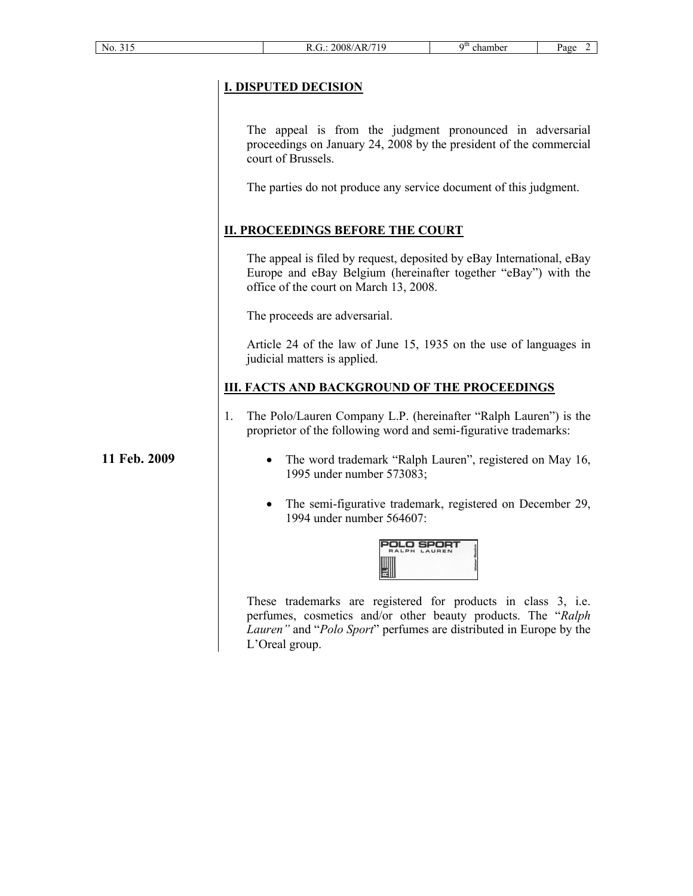# **I. DISPUTED DECISION**

The appeal is from the judgment pronounced in adversarial proceedings on January 24, 2008 by the president of the commercial court of Brussels.

The parties do not produce any service document of this judgment.

# **II. PROCEEDINGS BEFORE THE COURT**

The appeal is filed by request, deposited by eBay International, eBay Europe and eBay Belgium (hereinafter together "eBay") with the office of the court on March 13, 2008.

The proceeds are adversarial.

Article 24 of the law of June 15, 1935 on the use of languages in judicial matters is applied.

### **III. FACTS AND BACKGROUND OF THE PROCEEDINGS**

1. The Polo/Lauren Company L.P. (hereinafter "Ralph Lauren") is the proprietor of the following word and semi-figurative trademarks:

**11 Feb. 2009**

- · The word trademark "Ralph Lauren", registered on May 16, 1995 under number 573083;
- The semi-figurative trademark, registered on December 29, 1994 under number 564607:

| ſ<br>□<br><b>RALPH</b> | s<br>LAUREN |  |
|------------------------|-------------|--|
|                        |             |  |

These trademarks are registered for products in class 3, i.e. perfumes, cosmetics and/or other beauty products. The "*Ralph Lauren"* and "*Polo Sport*" perfumes are distributed in Europe by the L'Oreal group.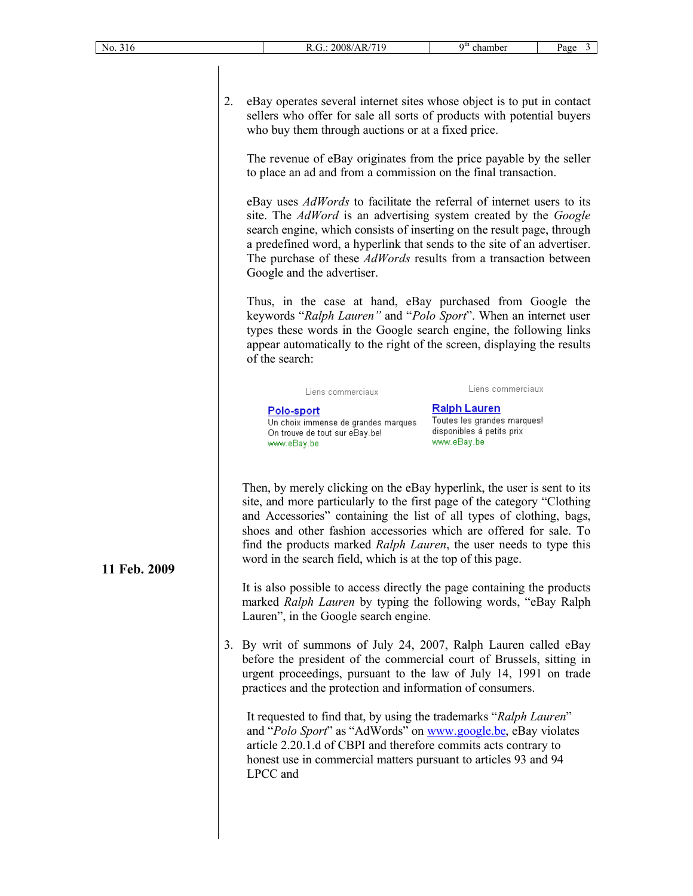2. eBay operates several internet sites whose object is to put in contact sellers who offer for sale all sorts of products with potential buyers who buy them through auctions or at a fixed price.

The revenue of eBay originates from the price payable by the seller to place an ad and from a commission on the final transaction.

eBay uses *AdWords* to facilitate the referral of internet users to its site. The *AdWord* is an advertising system created by the *Google* search engine, which consists of inserting on the result page, through a predefined word, a hyperlink that sends to the site of an advertiser. The purchase of these *AdWords* results from a transaction between Google and the advertiser.

Thus, in the case at hand, eBay purchased from Google the keywords "*Ralph Lauren"* and "*Polo Sport*". When an internet user types these words in the Google search engine, the following links appear automatically to the right of the screen, displaying the results of the search:

| Liens commerciaux |  |
|-------------------|--|

Liens commerciaux

#### Polo-sport

Un choix immense de grandes marques On trouve de tout sur eBay.be! www.eBay.be

**Ralph Lauren** Toutes les grandes marques! disponibles à petits prix www.eBay.be

Then, by merely clicking on the eBay hyperlink, the user is sent to its site, and more particularly to the first page of the category "Clothing and Accessories" containing the list of all types of clothing, bags, shoes and other fashion accessories which are offered for sale. To find the products marked *Ralph Lauren*, the user needs to type this word in the search field, which is at the top of this page.

It is also possible to access directly the page containing the products marked *Ralph Lauren* by typing the following words, "eBay Ralph Lauren", in the Google search engine.

3. By writ of summons of July 24, 2007, Ralph Lauren called eBay before the president of the commercial court of Brussels, sitting in urgent proceedings, pursuant to the law of July 14, 1991 on trade practices and the protection and information of consumers.

It requested to find that, by using the trademarks "*Ralph Lauren*" and "*Polo Sport*" as "AdWords" on [www.google.be,](www.google.be) eBay violates article 2.20.1.d of CBPI and therefore commits acts contrary to honest use in commercial matters pursuant to articles 93 and 94 LPCC and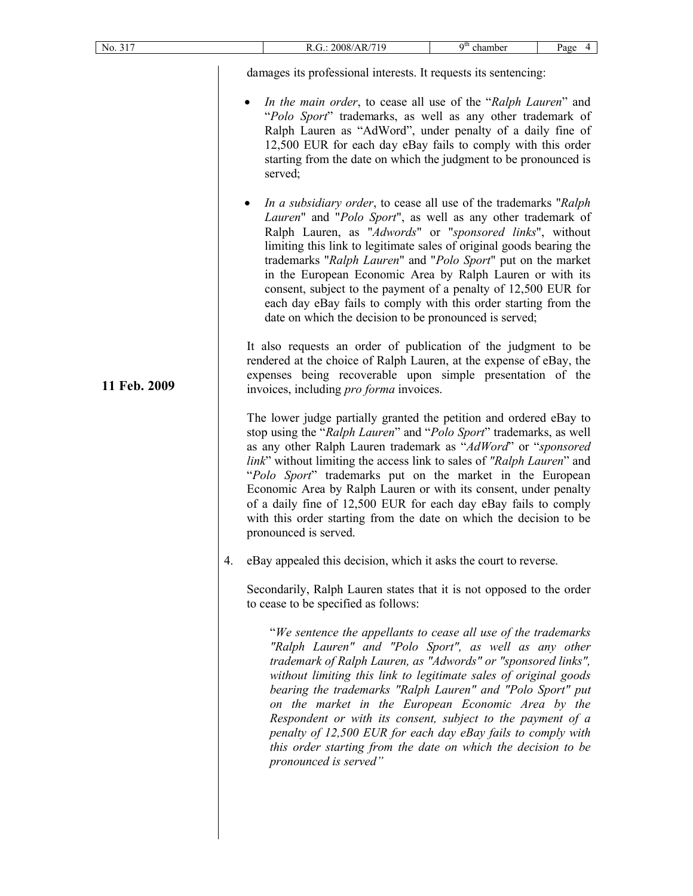| No. 317      |    |                                                                                                                                                                                                                                                                                                                                          | R.G.: 2008/AR/719                                                                                                                                                                                                                                                                                                                                                                                                                                                                                                                                                                                         | $9th$ chamber | Page 4 |  |
|--------------|----|------------------------------------------------------------------------------------------------------------------------------------------------------------------------------------------------------------------------------------------------------------------------------------------------------------------------------------------|-----------------------------------------------------------------------------------------------------------------------------------------------------------------------------------------------------------------------------------------------------------------------------------------------------------------------------------------------------------------------------------------------------------------------------------------------------------------------------------------------------------------------------------------------------------------------------------------------------------|---------------|--------|--|
|              |    |                                                                                                                                                                                                                                                                                                                                          | damages its professional interests. It requests its sentencing:                                                                                                                                                                                                                                                                                                                                                                                                                                                                                                                                           |               |        |  |
|              |    | In the main order, to cease all use of the "Ralph Lauren" and<br>"Polo Sport" trademarks, as well as any other trademark of<br>Ralph Lauren as "AdWord", under penalty of a daily fine of<br>12,500 EUR for each day eBay fails to comply with this order<br>starting from the date on which the judgment to be pronounced is<br>served; |                                                                                                                                                                                                                                                                                                                                                                                                                                                                                                                                                                                                           |               |        |  |
|              |    |                                                                                                                                                                                                                                                                                                                                          | In a subsidiary order, to cease all use of the trademarks "Ralph"<br>Lauren" and "Polo Sport", as well as any other trademark of<br>Ralph Lauren, as "Adwords" or "sponsored links", without<br>limiting this link to legitimate sales of original goods bearing the<br>trademarks "Ralph Lauren" and "Polo Sport" put on the market<br>in the European Economic Area by Ralph Lauren or with its<br>consent, subject to the payment of a penalty of 12,500 EUR for<br>each day eBay fails to comply with this order starting from the<br>date on which the decision to be pronounced is served;          |               |        |  |
| 11 Feb. 2009 |    |                                                                                                                                                                                                                                                                                                                                          | It also requests an order of publication of the judgment to be<br>rendered at the choice of Ralph Lauren, at the expense of eBay, the<br>expenses being recoverable upon simple presentation of the<br>invoices, including pro forma invoices.                                                                                                                                                                                                                                                                                                                                                            |               |        |  |
|              |    |                                                                                                                                                                                                                                                                                                                                          | The lower judge partially granted the petition and ordered eBay to<br>stop using the "Ralph Lauren" and "Polo Sport" trademarks, as well<br>as any other Ralph Lauren trademark as "AdWord" or "sponsored<br>link" without limiting the access link to sales of "Ralph Lauren" and<br>"Polo Sport" trademarks put on the market in the European<br>Economic Area by Ralph Lauren or with its consent, under penalty<br>of a daily fine of 12,500 EUR for each day eBay fails to comply<br>with this order starting from the date on which the decision to be<br>pronounced is served.                     |               |        |  |
|              | 4. |                                                                                                                                                                                                                                                                                                                                          | eBay appealed this decision, which it asks the court to reverse.                                                                                                                                                                                                                                                                                                                                                                                                                                                                                                                                          |               |        |  |
|              |    |                                                                                                                                                                                                                                                                                                                                          | Secondarily, Ralph Lauren states that it is not opposed to the order<br>to cease to be specified as follows:                                                                                                                                                                                                                                                                                                                                                                                                                                                                                              |               |        |  |
|              |    |                                                                                                                                                                                                                                                                                                                                          | "We sentence the appellants to cease all use of the trademarks<br>"Ralph Lauren" and "Polo Sport", as well as any other<br>trademark of Ralph Lauren, as "Adwords" or "sponsored links",<br>without limiting this link to legitimate sales of original goods<br>bearing the trademarks "Ralph Lauren" and "Polo Sport" put<br>on the market in the European Economic Area by the<br>Respondent or with its consent, subject to the payment of a<br>penalty of 12,500 EUR for each day eBay fails to comply with<br>this order starting from the date on which the decision to be<br>pronounced is served" |               |        |  |
|              |    |                                                                                                                                                                                                                                                                                                                                          |                                                                                                                                                                                                                                                                                                                                                                                                                                                                                                                                                                                                           |               |        |  |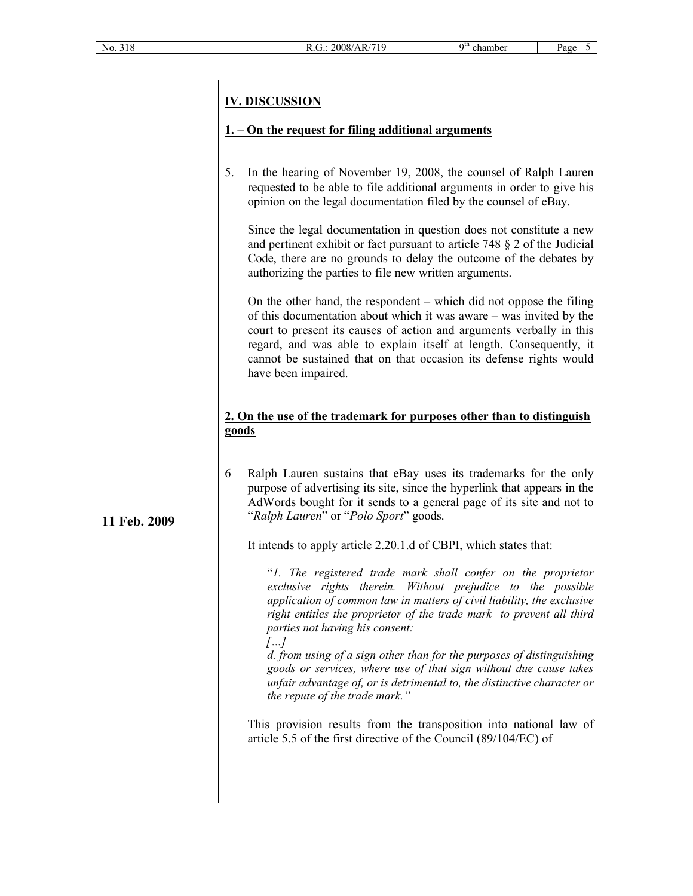# **IV. DISCUSSION**

# **1. – On the request for filing additional arguments**

5. In the hearing of November 19, 2008, the counsel of Ralph Lauren requested to be able to file additional arguments in order to give his opinion on the legal documentation filed by the counsel of eBay.

Since the legal documentation in question does not constitute a new and pertinent exhibit or fact pursuant to article 748 § 2 of the Judicial Code, there are no grounds to delay the outcome of the debates by authorizing the parties to file new written arguments.

On the other hand, the respondent – which did not oppose the filing of this documentation about which it was aware – was invited by the court to present its causes of action and arguments verbally in this regard, and was able to explain itself at length. Consequently, it cannot be sustained that on that occasion its defense rights would have been impaired.

# **2. On the use of the trademark for purposes other than to distinguish goods**

6 Ralph Lauren sustains that eBay uses its trademarks for the only purpose of advertising its site, since the hyperlink that appears in the AdWords bought for it sends to a general page of its site and not to "*Ralph Lauren*" or "*Polo Sport*" goods.

It intends to apply article 2.20.1.d of CBPI, which states that:

"*1. The registered trade mark shall confer on the proprietor exclusive rights therein. Without prejudice to the possible application of common law in matters of civil liability, the exclusive right entitles the proprietor of the trade mark to prevent all third parties not having his consent:*

*[…]*

*d. from using of a sign other than for the purposes of distinguishing goods or services, where use of that sign without due cause takes unfair advantage of, or is detrimental to, the distinctive character or the repute of the trade mark."*

This provision results from the transposition into national law of article 5.5 of the first directive of the Council (89/104/EC) of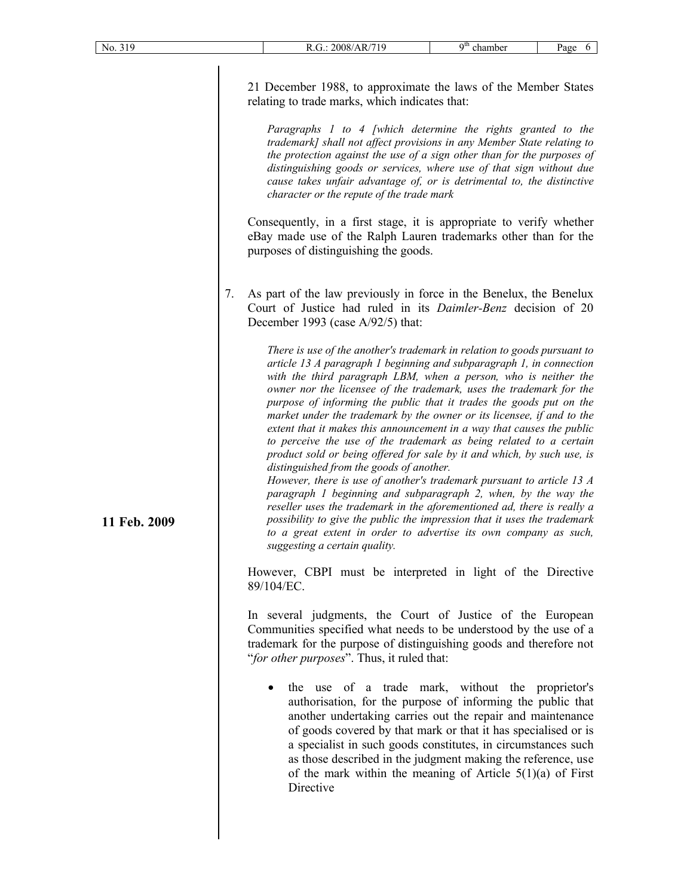21 December 1988, to approximate the laws of the Member States relating to trade marks, which indicates that:

*Paragraphs 1 to 4 [which determine the rights granted to the trademark] shall not affect provisions in any Member State relating to the protection against the use of a sign other than for the purposes of distinguishing goods or services, where use of that sign without due cause takes unfair advantage of, or is detrimental to, the distinctive character or the repute of the trade mark*

Consequently, in a first stage, it is appropriate to verify whether eBay made use of the Ralph Lauren trademarks other than for the purposes of distinguishing the goods.

7. As part of the law previously in force in the Benelux, the Benelux Court of Justice had ruled in its *Daimler-Benz* decision of 20 December 1993 (case A/92/5) that:

> *There is use of the another's trademark in relation to goods pursuant to article 13 A paragraph 1 beginning and subparagraph 1, in connection with the third paragraph LBM, when a person, who is neither the owner nor the licensee of the trademark, uses the trademark for the purpose of informing the public that it trades the goods put on the market under the trademark by the owner or its licensee, if and to the extent that it makes this announcement in a way that causes the public to perceive the use of the trademark as being related to a certain product sold or being offered for sale by it and which, by such use, is distinguished from the goods of another.*

> *However, there is use of another's trademark pursuant to article 13 A paragraph 1 beginning and subparagraph 2, when, by the way the reseller uses the trademark in the aforementioned ad, there is really a possibility to give the public the impression that it uses the trademark to a great extent in order to advertise its own company as such, suggesting a certain quality.*

However, CBPI must be interpreted in light of the Directive 89/104/EC.

In several judgments, the Court of Justice of the European Communities specified what needs to be understood by the use of a trademark for the purpose of distinguishing goods and therefore not "*for other purposes*". Thus, it ruled that:

the use of a trade mark, without the proprietor's authorisation, for the purpose of informing the public that another undertaking carries out the repair and maintenance of goods covered by that mark or that it has specialised or is a specialist in such goods constitutes, in circumstances such as those described in the judgment making the reference, use of the mark within the meaning of Article  $5(1)(a)$  of First Directive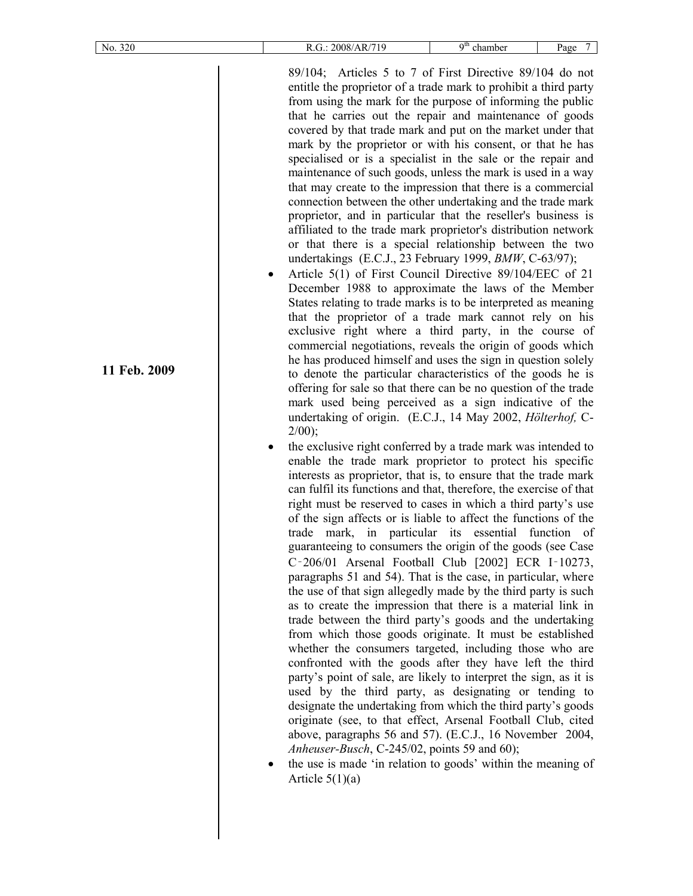| No. 320      | $9th$ chamber<br>R.G.: 2008/AR/719<br>Page<br>7                                                                                                                                                                                                                                                                                                                                                                                                                                                                                                                                                                                                                                                                                                                                                                                                                                                                                                                                                                                                                                                                                                                                                                                                                                                                                                                                                                                                                                                                                                                                                                                                                                                                                                                                                                                                                                                                                                                                                                                                                                                                                                                                                                                                                                                                                                                                                                                                                                                                                                                                                                                                                                                                                                                                                                                                                                                                                                                                                                                                                                                                                          |
|--------------|------------------------------------------------------------------------------------------------------------------------------------------------------------------------------------------------------------------------------------------------------------------------------------------------------------------------------------------------------------------------------------------------------------------------------------------------------------------------------------------------------------------------------------------------------------------------------------------------------------------------------------------------------------------------------------------------------------------------------------------------------------------------------------------------------------------------------------------------------------------------------------------------------------------------------------------------------------------------------------------------------------------------------------------------------------------------------------------------------------------------------------------------------------------------------------------------------------------------------------------------------------------------------------------------------------------------------------------------------------------------------------------------------------------------------------------------------------------------------------------------------------------------------------------------------------------------------------------------------------------------------------------------------------------------------------------------------------------------------------------------------------------------------------------------------------------------------------------------------------------------------------------------------------------------------------------------------------------------------------------------------------------------------------------------------------------------------------------------------------------------------------------------------------------------------------------------------------------------------------------------------------------------------------------------------------------------------------------------------------------------------------------------------------------------------------------------------------------------------------------------------------------------------------------------------------------------------------------------------------------------------------------------------------------------------------------------------------------------------------------------------------------------------------------------------------------------------------------------------------------------------------------------------------------------------------------------------------------------------------------------------------------------------------------------------------------------------------------------------------------------------------------|
| 11 Feb. 2009 | 89/104; Articles 5 to 7 of First Directive 89/104 do not<br>entitle the proprietor of a trade mark to prohibit a third party<br>from using the mark for the purpose of informing the public<br>that he carries out the repair and maintenance of goods<br>covered by that trade mark and put on the market under that<br>mark by the proprietor or with his consent, or that he has<br>specialised or is a specialist in the sale or the repair and<br>maintenance of such goods, unless the mark is used in a way<br>that may create to the impression that there is a commercial<br>connection between the other undertaking and the trade mark<br>proprietor, and in particular that the reseller's business is<br>affiliated to the trade mark proprietor's distribution network<br>or that there is a special relationship between the two<br>undertakings (E.C.J., 23 February 1999, <i>BMW</i> , C-63/97);<br>Article 5(1) of First Council Directive 89/104/EEC of 21<br>٠<br>December 1988 to approximate the laws of the Member<br>States relating to trade marks is to be interpreted as meaning<br>that the proprietor of a trade mark cannot rely on his<br>exclusive right where a third party, in the course of<br>commercial negotiations, reveals the origin of goods which<br>he has produced himself and uses the sign in question solely<br>to denote the particular characteristics of the goods he is<br>offering for sale so that there can be no question of the trade<br>mark used being perceived as a sign indicative of the<br>undertaking of origin. (E.C.J., 14 May 2002, Hölterhof, C-<br>$2/00$ ;<br>the exclusive right conferred by a trade mark was intended to<br>enable the trade mark proprietor to protect his specific<br>interests as proprietor, that is, to ensure that the trade mark<br>can fulfil its functions and that, therefore, the exercise of that<br>right must be reserved to cases in which a third party's use<br>of the sign affects or is liable to affect the functions of the<br>trade mark, in particular its essential function of<br>guaranteeing to consumers the origin of the goods (see Case<br>C-206/01 Arsenal Football Club [2002] ECR I-10273,<br>paragraphs 51 and 54). That is the case, in particular, where<br>the use of that sign allegedly made by the third party is such<br>as to create the impression that there is a material link in<br>trade between the third party's goods and the undertaking<br>from which those goods originate. It must be established<br>whether the consumers targeted, including those who are<br>confronted with the goods after they have left the third<br>party's point of sale, are likely to interpret the sign, as it is<br>used by the third party, as designating or tending to<br>designate the undertaking from which the third party's goods<br>originate (see, to that effect, Arsenal Football Club, cited<br>above, paragraphs 56 and 57). (E.C.J., 16 November 2004,<br>Anheuser-Busch, C-245/02, points 59 and 60);<br>the use is made 'in relation to goods' within the meaning of<br>Article $5(1)(a)$ |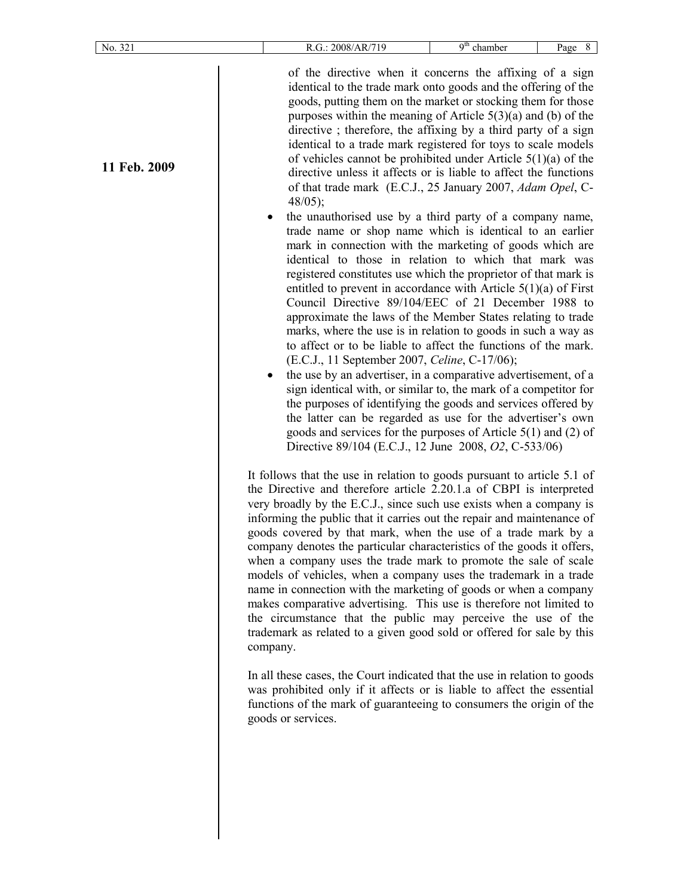| No. 321      | R.G.: 2008/AR/719                                                                                                                                                                                                                                                                                                                                                                                                                                                                                                                                                                                                                                                                                                                                                                                                                                                                                                                                                                                                                                                                                                                                                                                                                                                                                                                                                                                                                                                                                                                                                                                                                                                                                                  | $9th$ chamber | Page 8 |
|--------------|--------------------------------------------------------------------------------------------------------------------------------------------------------------------------------------------------------------------------------------------------------------------------------------------------------------------------------------------------------------------------------------------------------------------------------------------------------------------------------------------------------------------------------------------------------------------------------------------------------------------------------------------------------------------------------------------------------------------------------------------------------------------------------------------------------------------------------------------------------------------------------------------------------------------------------------------------------------------------------------------------------------------------------------------------------------------------------------------------------------------------------------------------------------------------------------------------------------------------------------------------------------------------------------------------------------------------------------------------------------------------------------------------------------------------------------------------------------------------------------------------------------------------------------------------------------------------------------------------------------------------------------------------------------------------------------------------------------------|---------------|--------|
| 11 Feb. 2009 | of the directive when it concerns the affixing of a sign<br>identical to the trade mark onto goods and the offering of the<br>goods, putting them on the market or stocking them for those<br>purposes within the meaning of Article $5(3)(a)$ and (b) of the<br>directive; therefore, the affixing by a third party of a sign<br>identical to a trade mark registered for toys to scale models<br>of vehicles cannot be prohibited under Article $5(1)(a)$ of the<br>directive unless it affects or is liable to affect the functions<br>of that trade mark (E.C.J., 25 January 2007, Adam Opel, C-<br>$48/05$ ;<br>the unauthorised use by a third party of a company name,<br>trade name or shop name which is identical to an earlier<br>mark in connection with the marketing of goods which are<br>identical to those in relation to which that mark was<br>registered constitutes use which the proprietor of that mark is<br>entitled to prevent in accordance with Article $5(1)(a)$ of First<br>Council Directive 89/104/EEC of 21 December 1988 to<br>approximate the laws of the Member States relating to trade<br>marks, where the use is in relation to goods in such a way as<br>to affect or to be liable to affect the functions of the mark.<br>(E.C.J., 11 September 2007, Celine, C-17/06);<br>the use by an advertiser, in a comparative advertisement, of a<br>sign identical with, or similar to, the mark of a competitor for<br>the purposes of identifying the goods and services offered by<br>the latter can be regarded as use for the advertiser's own<br>goods and services for the purposes of Article $5(1)$ and (2) of<br>Directive 89/104 (E.C.J., 12 June 2008, O2, C-533/06) |               |        |
|              | It follows that the use in relation to goods pursuant to article 5.1 of<br>the Directive and therefore article 2.20.1.a of CBPI is interpreted<br>very broadly by the E.C.J., since such use exists when a company is<br>informing the public that it carries out the repair and maintenance of<br>goods covered by that mark, when the use of a trade mark by a<br>company denotes the particular characteristics of the goods it offers,<br>when a company uses the trade mark to promote the sale of scale<br>models of vehicles, when a company uses the trademark in a trade<br>name in connection with the marketing of goods or when a company<br>makes comparative advertising. This use is therefore not limited to<br>the circumstance that the public may perceive the use of the<br>trademark as related to a given good sold or offered for sale by this<br>company.<br>In all these cases, the Court indicated that the use in relation to goods<br>was prohibited only if it affects or is liable to affect the essential<br>functions of the mark of guaranteeing to consumers the origin of the<br>goods or services.                                                                                                                                                                                                                                                                                                                                                                                                                                                                                                                                                                             |               |        |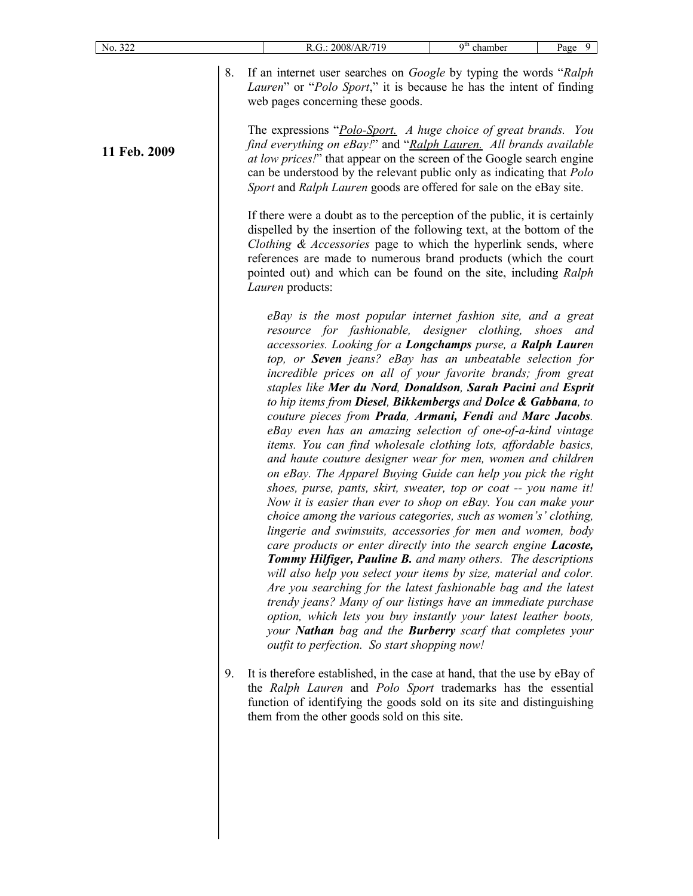**11 Feb. 2009**

8. If an internet user searches on *Google* by typing the words "*Ralph Lauren*" or "*Polo Sport*," it is because he has the intent of finding web pages concerning these goods.

The expressions "*Polo-Sport. A huge choice of great brands. You find everything on eBay!*" and "*Ralph Lauren. All brands available at low prices!*" that appear on the screen of the Google search engine can be understood by the relevant public only as indicating that *Polo Sport* and *Ralph Lauren* goods are offered for sale on the eBay site.

If there were a doubt as to the perception of the public, it is certainly dispelled by the insertion of the following text, at the bottom of the *Clothing & Accessories* page to which the hyperlink sends, where references are made to numerous brand products (which the court pointed out) and which can be found on the site, including *Ralph Lauren* products:

*eBay is the most popular internet fashion site, and a great resource for fashionable, designer clothing, shoes and accessories. Looking for a Longchamps purse, a Ralph Lauren top, or Seven jeans? eBay has an unbeatable selection for incredible prices on all of your favorite brands; from great staples like Mer du Nord, Donaldson, Sarah Pacini and Esprit to hip items from Diesel, Bikkembergs and Dolce & Gabbana, to couture pieces from Prada, Armani, Fendi and Marc Jacobs. eBay even has an amazing selection of one-of-a-kind vintage items. You can find wholesale clothing lots, affordable basics, and haute couture designer wear for men, women and children on eBay. The Apparel Buying Guide can help you pick the right shoes, purse, pants, skirt, sweater, top or coat -- you name it! Now it is easier than ever to shop on eBay. You can make your choice among the various categories, such as women's' clothing, lingerie and swimsuits, accessories for men and women, body care products or enter directly into the search engine Lacoste, Tommy Hilfiger, Pauline B. and many others. The descriptions will also help you select your items by size, material and color. Are you searching for the latest fashionable bag and the latest trendy jeans? Many of our listings have an immediate purchase option, which lets you buy instantly your latest leather boots, your Nathan bag and the Burberry scarf that completes your outfit to perfection. So start shopping now!*

9. It is therefore established, in the case at hand, that the use by eBay of the *Ralph Lauren* and *Polo Sport* trademarks has the essential function of identifying the goods sold on its site and distinguishing them from the other goods sold on this site.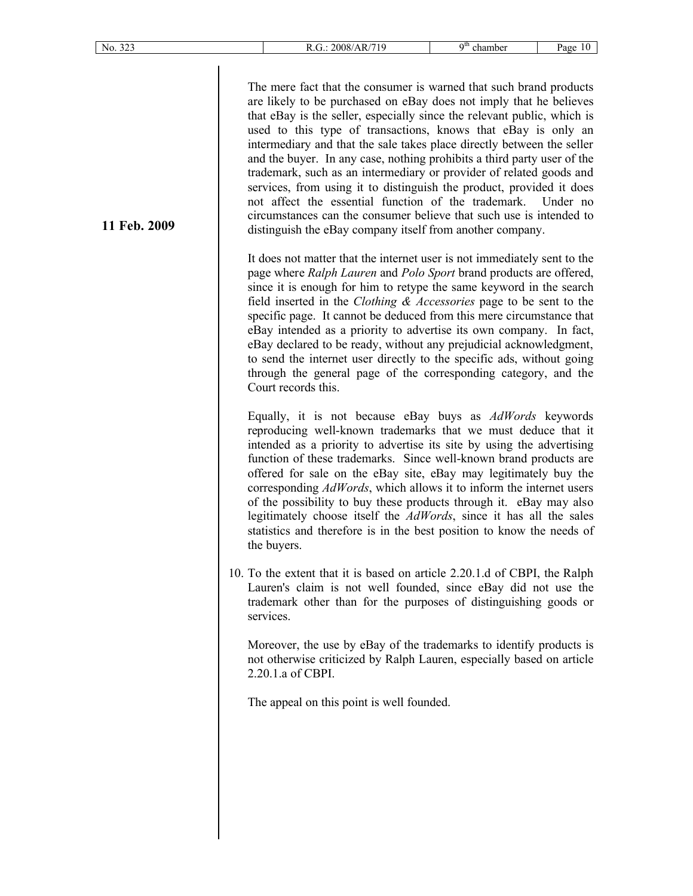|--|--|--|

**11 Feb. 2009**

The mere fact that the consumer is warned that such brand products are likely to be purchased on eBay does not imply that he believes that eBay is the seller, especially since the relevant public, which is used to this type of transactions, knows that eBay is only an intermediary and that the sale takes place directly between the seller and the buyer. In any case, nothing prohibits a third party user of the trademark, such as an intermediary or provider of related goods and services, from using it to distinguish the product, provided it does not affect the essential function of the trademark. Under no circumstances can the consumer believe that such use is intended to distinguish the eBay company itself from another company.

It does not matter that the internet user is not immediately sent to the page where *Ralph Lauren* and *Polo Sport* brand products are offered, since it is enough for him to retype the same keyword in the search field inserted in the *Clothing & Accessories* page to be sent to the specific page. It cannot be deduced from this mere circumstance that eBay intended as a priority to advertise its own company. In fact, eBay declared to be ready, without any prejudicial acknowledgment, to send the internet user directly to the specific ads, without going through the general page of the corresponding category, and the Court records this.

Equally, it is not because eBay buys as *AdWords* keywords reproducing well-known trademarks that we must deduce that it intended as a priority to advertise its site by using the advertising function of these trademarks. Since well-known brand products are offered for sale on the eBay site, eBay may legitimately buy the corresponding *AdWords*, which allows it to inform the internet users of the possibility to buy these products through it. eBay may also legitimately choose itself the *AdWords*, since it has all the sales statistics and therefore is in the best position to know the needs of the buyers.

10. To the extent that it is based on article 2.20.1.d of CBPI, the Ralph Lauren's claim is not well founded, since eBay did not use the trademark other than for the purposes of distinguishing goods or services.

Moreover, the use by eBay of the trademarks to identify products is not otherwise criticized by Ralph Lauren, especially based on article 2.20.1.a of CBPI.

The appeal on this point is well founded.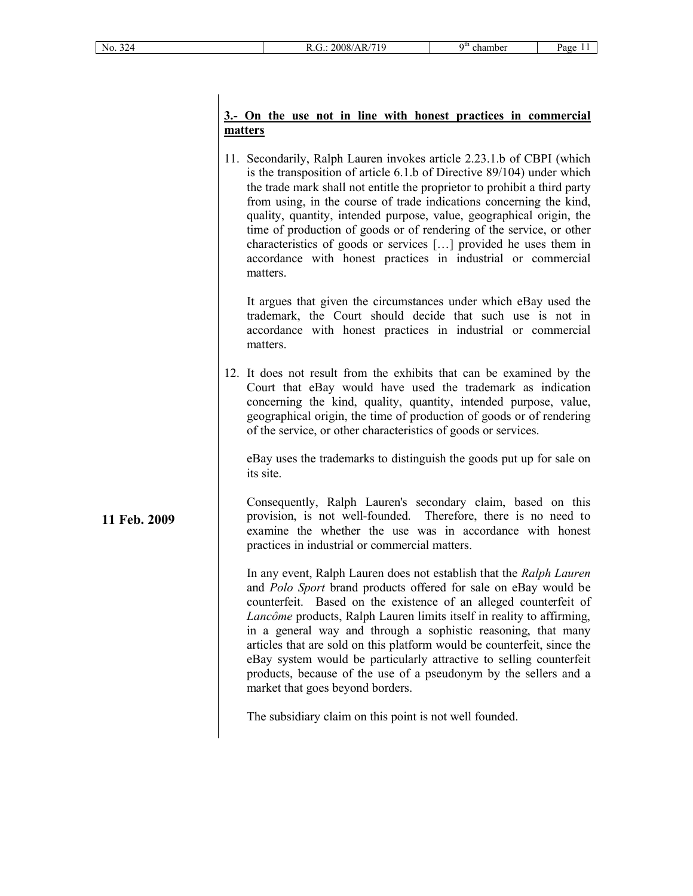**11 Feb. 2009**

# **3.- On the use not in line with honest practices in commercial matters**

11. Secondarily, Ralph Lauren invokes article 2.23.1.b of CBPI (which is the transposition of article 6.1.b of Directive 89/104) under which the trade mark shall not entitle the proprietor to prohibit a third party from using, in the course of trade indications concerning the kind, quality, quantity, intended purpose, value, geographical origin, the time of production of goods or of rendering of the service, or other characteristics of goods or services […] provided he uses them in accordance with honest practices in industrial or commercial matters.

It argues that given the circumstances under which eBay used the trademark, the Court should decide that such use is not in accordance with honest practices in industrial or commercial matters.

12. It does not result from the exhibits that can be examined by the Court that eBay would have used the trademark as indication concerning the kind, quality, quantity, intended purpose, value, geographical origin, the time of production of goods or of rendering of the service, or other characteristics of goods or services.

eBay uses the trademarks to distinguish the goods put up for sale on its site.

Consequently, Ralph Lauren's secondary claim, based on this provision, is not well-founded. Therefore, there is no need to examine the whether the use was in accordance with honest practices in industrial or commercial matters.

In any event, Ralph Lauren does not establish that the *Ralph Lauren* and *Polo Sport* brand products offered for sale on eBay would be counterfeit. Based on the existence of an alleged counterfeit of *Lancôme* products, Ralph Lauren limits itself in reality to affirming, in a general way and through a sophistic reasoning, that many articles that are sold on this platform would be counterfeit, since the eBay system would be particularly attractive to selling counterfeit products, because of the use of a pseudonym by the sellers and a market that goes beyond borders.

The subsidiary claim on this point is not well founded.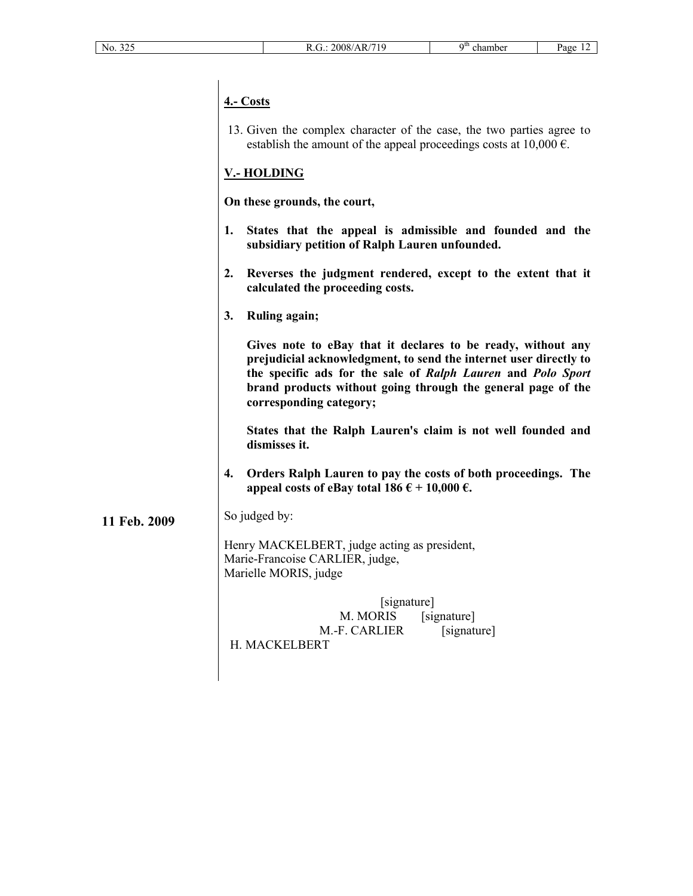# **4.- Costs**

13. Given the complex character of the case, the two parties agree to establish the amount of the appeal proceedings costs at  $10,000 \text{ } \epsilon$ .

# **V.- HOLDING**

**On these grounds, the court,**

- **1. States that the appeal is admissible and founded and the subsidiary petition of Ralph Lauren unfounded.**
- **2. Reverses the judgment rendered, except to the extent that it calculated the proceeding costs.**
- **3. Ruling again;**

**Gives note to eBay that it declares to be ready, without any prejudicial acknowledgment, to send the internet user directly to the specific ads for the sale of** *Ralph Lauren* **and** *Polo Sport* **brand products without going through the general page of the corresponding category;**

**States that the Ralph Lauren's claim is not well founded and dismisses it.**

- **4. Orders Ralph Lauren to pay the costs of both proceedings. The**  appeal costs of eBay total  $186 \text{ } \in +10,000 \text{ } \in$ .
- **11 Feb. 2009** So judged by:

Henry MACKELBERT, judge acting as president, Marie-Francoise CARLIER, judge, Marielle MORIS, judge

[signature] M. MORIS [signature] M.-F. CARLIER [signature] H. MACKELBERT